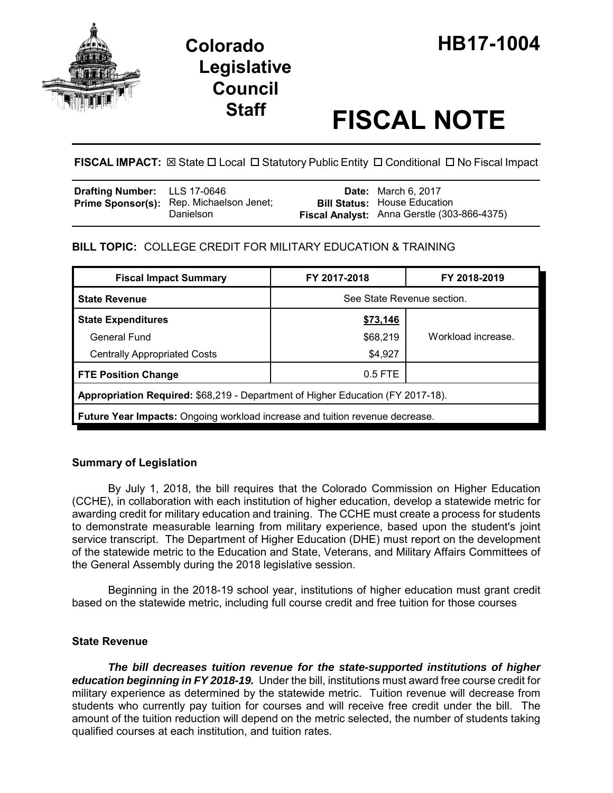

# **Legislative Council**

# **Staff FISCAL NOTE**

# **FISCAL IMPACT:**  $\boxtimes$  **State □ Local □ Statutory Public Entity □ Conditional □ No Fiscal Impact**

| <b>Drafting Number:</b> LLS 17-0646 |                                                              | <b>Date:</b> March 6, 2017                  |
|-------------------------------------|--------------------------------------------------------------|---------------------------------------------|
|                                     | <b>Prime Sponsor(s):</b> Rep. Michaelson Jenet;<br>Danielson | <b>Bill Status:</b> House Education         |
|                                     |                                                              | Fiscal Analyst: Anna Gerstle (303-866-4375) |

# **BILL TOPIC:** COLLEGE CREDIT FOR MILITARY EDUCATION & TRAINING

| <b>Fiscal Impact Summary</b>                                                        | FY 2017-2018               | FY 2018-2019       |  |  |
|-------------------------------------------------------------------------------------|----------------------------|--------------------|--|--|
| <b>State Revenue</b>                                                                | See State Revenue section. |                    |  |  |
| <b>State Expenditures</b>                                                           | \$73,146                   |                    |  |  |
| General Fund                                                                        | \$68,219                   | Workload increase. |  |  |
| <b>Centrally Appropriated Costs</b>                                                 | \$4,927                    |                    |  |  |
| <b>FTE Position Change</b>                                                          | $0.5$ FTE                  |                    |  |  |
| Appropriation Required: \$68,219 - Department of Higher Education (FY 2017-18).     |                            |                    |  |  |
| <b>Future Year Impacts:</b> Ongoing workload increase and tuition revenue decrease. |                            |                    |  |  |

## **Summary of Legislation**

By July 1, 2018, the bill requires that the Colorado Commission on Higher Education (CCHE), in collaboration with each institution of higher education, develop a statewide metric for awarding credit for military education and training. The CCHE must create a process for students to demonstrate measurable learning from military experience, based upon the student's joint service transcript. The Department of Higher Education (DHE) must report on the development of the statewide metric to the Education and State, Veterans, and Military Affairs Committees of the General Assembly during the 2018 legislative session.

Beginning in the 2018-19 school year, institutions of higher education must grant credit based on the statewide metric, including full course credit and free tuition for those courses

#### **State Revenue**

*The bill decreases tuition revenue for the state-supported institutions of higher education beginning in FY 2018-19.* Under the bill, institutions must award free course credit for military experience as determined by the statewide metric. Tuition revenue will decrease from students who currently pay tuition for courses and will receive free credit under the bill. The amount of the tuition reduction will depend on the metric selected, the number of students taking qualified courses at each institution, and tuition rates.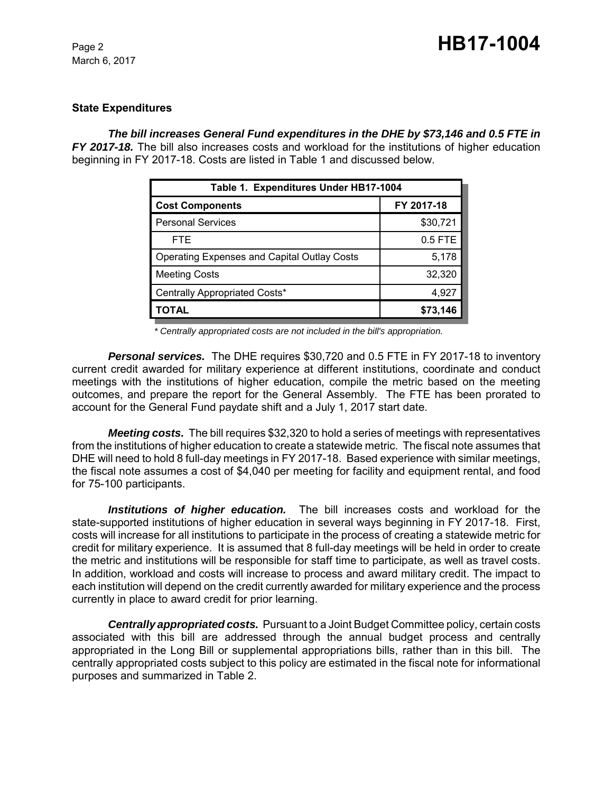#### **State Expenditures**

#### *The bill increases General Fund expenditures in the DHE by \$73,146 and 0.5 FTE in*

*FY 2017-18.* The bill also increases costs and workload for the institutions of higher education beginning in FY 2017-18. Costs are listed in Table 1 and discussed below.

| Table 1. Expenditures Under HB17-1004              |            |  |  |
|----------------------------------------------------|------------|--|--|
| <b>Cost Components</b>                             | FY 2017-18 |  |  |
| <b>Personal Services</b>                           | \$30,721   |  |  |
| <b>FTE</b>                                         | 0.5 FTE    |  |  |
| <b>Operating Expenses and Capital Outlay Costs</b> | 5,178      |  |  |
| <b>Meeting Costs</b>                               | 32,320     |  |  |
| Centrally Appropriated Costs*                      | 4,927      |  |  |
| TOTAL                                              | \$73,146   |  |  |

 *\* Centrally appropriated costs are not included in the bill's appropriation.*

*Personal services.* The DHE requires \$30,720 and 0.5 FTE in FY 2017-18 to inventory current credit awarded for military experience at different institutions, coordinate and conduct meetings with the institutions of higher education, compile the metric based on the meeting outcomes, and prepare the report for the General Assembly. The FTE has been prorated to account for the General Fund paydate shift and a July 1, 2017 start date.

*Meeting costs.* The bill requires \$32,320 to hold a series of meetings with representatives from the institutions of higher education to create a statewide metric. The fiscal note assumes that DHE will need to hold 8 full-day meetings in FY 2017-18. Based experience with similar meetings, the fiscal note assumes a cost of \$4,040 per meeting for facility and equipment rental, and food for 75-100 participants.

*Institutions of higher education.* The bill increases costs and workload for the state-supported institutions of higher education in several ways beginning in FY 2017-18. First, costs will increase for all institutions to participate in the process of creating a statewide metric for credit for military experience. It is assumed that 8 full-day meetings will be held in order to create the metric and institutions will be responsible for staff time to participate, as well as travel costs. In addition, workload and costs will increase to process and award military credit. The impact to each institution will depend on the credit currently awarded for military experience and the process currently in place to award credit for prior learning.

*Centrally appropriated costs.* Pursuant to a Joint Budget Committee policy, certain costs associated with this bill are addressed through the annual budget process and centrally appropriated in the Long Bill or supplemental appropriations bills, rather than in this bill. The centrally appropriated costs subject to this policy are estimated in the fiscal note for informational purposes and summarized in Table 2.